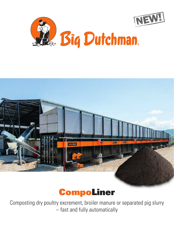





Composting dry poultry excrement, broiler manure or separated pig slurry – fast and fully automatically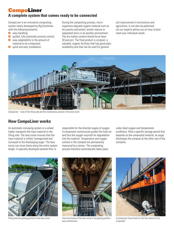## CompoLiner **A complete system that comes ready to be connected**

CompoLiner is an innovative composting system newly developed by Big Dutchman with the following benefits:

- $\Theta$  easy handling;
- $\bullet$ guided, fully automatic process control;
- $\bullet$ easy adaptability to the amount of material to be composted;
- $\bullet$ quick and easy installation.

During the composting process, microorganisms degrade organic material such as dry poultry excrement, broiler manure or separated slurry in an aerobic environment. The dry matter content should be at least 30 percent. The final product is compost: a valuable, organic fertiliser that has good plant availability and that can be used for general

soil improvement in horticulture and agriculture. It can also be pelletised. Let our experts advise you on how to best meet your individual needs.



CompoLiner – view of the filling side and the maintenance position of the lane turner

## **How CompoLiner works**

An automatic conveying system or a wheel loader transports the input material to the filling side. The lane turner ensures that the input material is milled, homogenised and conveyed to the discharging auger. The lane turner can move freely along the entire system length. A specially developed aerated floor is

responsible for the directed supply of oxygen. A compressor continuously guides the fresh air and thus the oxygen required for degradation into the material. Temperature and oxygen content in the compost are permanently measured by a sensor. The composting process therefore automatically takes place

under ideal oxygen and temperature conditions. After a specific storage period that depends on the composted material, an auger discharges the compost at the other end of the container.





Filling side and parking position of the lane turner View from below of the lane turner in its parking position – easy maintenance



A compressor forces fresh air into the material to be composted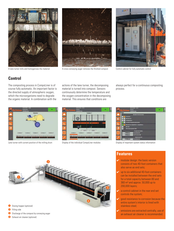



A lane turner mills and homogenises the material removes conveying auger removes the finished compost Control cabinet for fully automatic control



## **Control**

The composting process in CompoLiner is of course fully automatic. An important factor is the directed supply of atmospheric oxygen. which the microorganisms need to degrade the organic material. In combination with the

actions of the lane turner, the decomposing material is turned into compost. Sensors continuously determine the temperature and the oxygen concentration in the decomposing material. This ensures that conditions are

always perfect for a continuous composting process.



Lane turner with current position of the milling drum Display of the individual CompoLiner modules Display of important system status information

Exhaust air cleaner (optional)







### **Features**

- $\vee$  modular design: the basic version consists of two 40-foot containers that also serve as end sets;
- $\vee$  up to six additional 40-foot containers can be installed between the end sets for a total capacity between 80 and 360 m<sup>3</sup> and approx. 50,000 up to 200,000 layers;
- $\vee$  a control cabinet in the rear end set controls the system;
- good resistance to corrosion because the entire system's interior is lined with stainless steel;
- $\vee$  emissions are extracted centrally, use of an exhaust air cleaner is recommended.